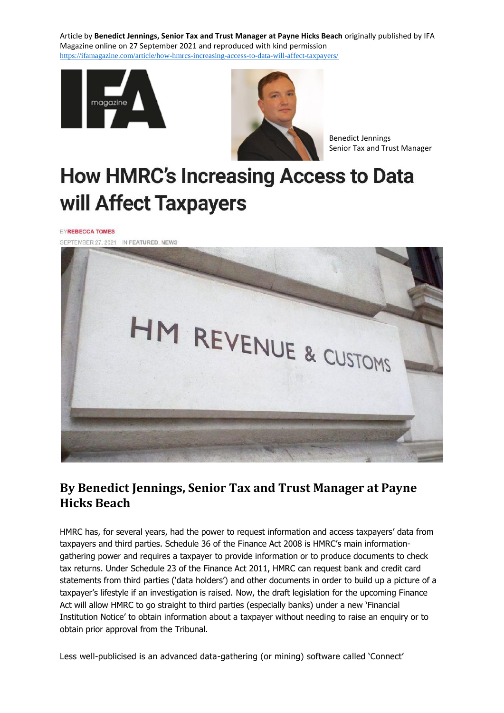Article by **Benedict Jennings, Senior Tax and Trust Manager at Payne Hicks Beach** originally published by IFA Magazine online on 27 September 2021 and reproduced with kind permission [https://ifamagazine.com/article/how-hmrcs-increasing-access-to-data-will-affect-taxpayers/](https://protect-eu.mimecast.com/s/7W71CDRqmc5oDq9IWaliZ?domain=ifamagazine.com)





Benedict Jennings Senior Tax and Trust Manager

## **How HMRC's Increasing Access to Data** will Affect Taxpayers

**EYREBECCA TOMES** 



## **By Benedict Jennings, Senior Tax and Trust Manager at Payne Hicks Beach**

HMRC has, for several years, had the power to request information and access taxpayers' data from taxpayers and third parties. Schedule 36 of the Finance Act 2008 is HMRC's main informationgathering power and requires a taxpayer to provide information or to produce documents to check tax returns. Under Schedule 23 of the Finance Act 2011, HMRC can request bank and credit card statements from third parties ('data holders') and other documents in order to build up a picture of a taxpayer's lifestyle if an investigation is raised. Now, the draft legislation for the upcoming Finance Act will allow HMRC to go straight to third parties (especially banks) under a new 'Financial Institution Notice' to obtain information about a taxpayer without needing to raise an enquiry or to obtain prior approval from the Tribunal.

Less well-publicised is an advanced data-gathering (or mining) software called 'Connect'